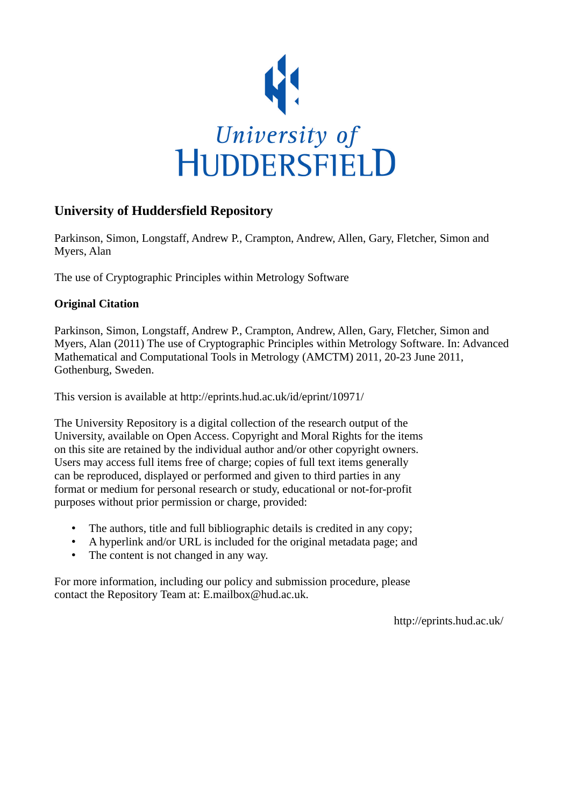

# **University of Huddersfield Repository**

Parkinson, Simon, Longstaff, Andrew P., Crampton, Andrew, Allen, Gary, Fletcher, Simon and Myers, Alan

The use of Cryptographic Principles within Metrology Software

## **Original Citation**

Parkinson, Simon, Longstaff, Andrew P., Crampton, Andrew, Allen, Gary, Fletcher, Simon and Myers, Alan (2011) The use of Cryptographic Principles within Metrology Software. In: Advanced Mathematical and Computational Tools in Metrology (AMCTM) 2011, 20-23 June 2011, Gothenburg, Sweden.

This version is available at http://eprints.hud.ac.uk/id/eprint/10971/

The University Repository is a digital collection of the research output of the University, available on Open Access. Copyright and Moral Rights for the items on this site are retained by the individual author and/or other copyright owners. Users may access full items free of charge; copies of full text items generally can be reproduced, displayed or performed and given to third parties in any format or medium for personal research or study, educational or not-for-profit purposes without prior permission or charge, provided:

- The authors, title and full bibliographic details is credited in any copy;
- A hyperlink and/or URL is included for the original metadata page; and
- The content is not changed in any way.

For more information, including our policy and submission procedure, please contact the Repository Team at: E.mailbox@hud.ac.uk.

http://eprints.hud.ac.uk/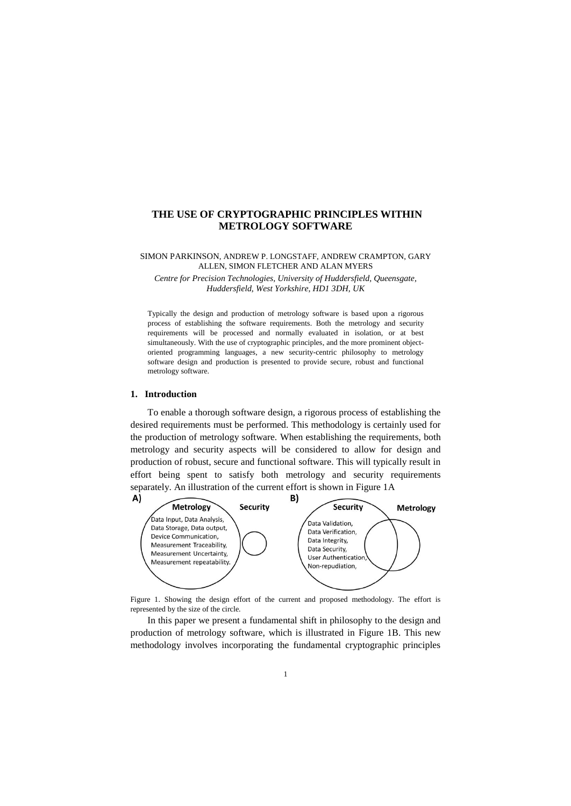## **THE USE OF CRYPTOGRAPHIC PRINCIPLES WITHIN METROLOGY SOFTWARE**

#### SIMON PARKINSON, ANDREW P. LONGSTAFF, ANDREW CRAMPTON, GARY ALLEN, SIMON FLETCHER AND ALAN MYERS

*Centre for Precision Technologies, University of Huddersfield, Queensgate, Huddersfield, West Yorkshire, HD1 3DH, UK*

Typically the design and production of metrology software is based upon a rigorous process of establishing the software requirements. Both the metrology and security requirements will be processed and normally evaluated in isolation, or at best simultaneously. With the use of cryptographic principles, and the more prominent objectoriented programming languages, a new security-centric philosophy to metrology software design and production is presented to provide secure, robust and functional metrology software.

#### **1. Introduction**

To enable a thorough software design, a rigorous process of establishing the desired requirements must be performed. This methodology is certainly used for the production of metrology software. When establishing the requirements, both metrology and security aspects will be considered to allow for design and production of robust, secure and functional software. This will typically result in effort being spent to satisfy both metrology and security requirements separately. An illustration of the current effort is shown in [Figure 1A](#page-1-0)



<span id="page-1-0"></span>Figure 1. Showing the design effort of the current and proposed methodology. The effort is represented by the size of the circle.

In this paper we present a fundamental shift in philosophy to the design and production of metrology software, which is illustrated in [Figure 1B](#page-1-0). This new methodology involves incorporating the fundamental cryptographic principles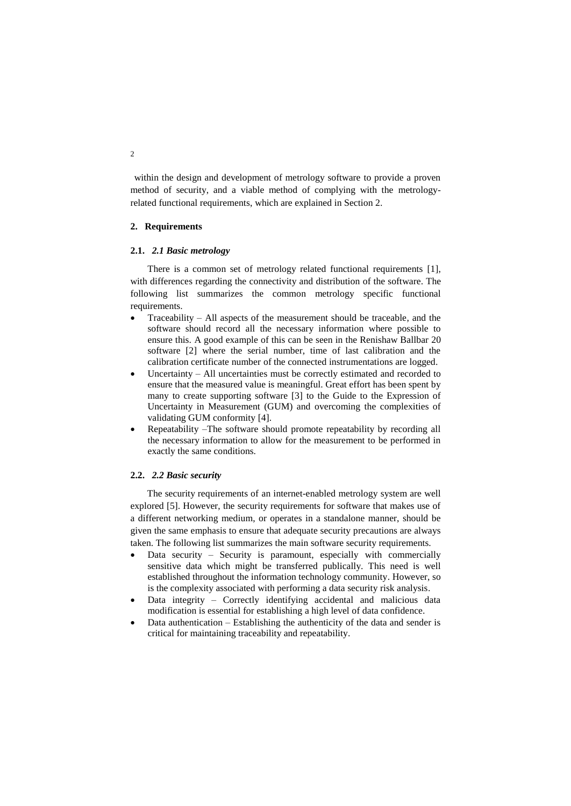within the design and development of metrology software to provide a proven method of security, and a viable method of complying with the metrologyrelated functional requirements, which are explained in Section 2.

## **2. Requirements**

### **2.1.** *2.1 Basic metrology*

There is a common set of metrology related functional requirements [1], with differences regarding the connectivity and distribution of the software. The following list summarizes the common metrology specific functional requirements.

- Traceability All aspects of the measurement should be traceable, and the software should record all the necessary information where possible to ensure this. A good example of this can be seen in the Renishaw Ballbar 20 software [2] where the serial number, time of last calibration and the calibration certificate number of the connected instrumentations are logged.
- Uncertainty All uncertainties must be correctly estimated and recorded to ensure that the measured value is meaningful. Great effort has been spent by many to create supporting software [3] to the Guide to the Expression of Uncertainty in Measurement (GUM) and overcoming the complexities of validating GUM conformity [4].
- Repeatability –The software should promote repeatability by recording all the necessary information to allow for the measurement to be performed in exactly the same conditions.

## **2.2.** *2.2 Basic security*

The security requirements of an internet-enabled metrology system are well explored [5]. However, the security requirements for software that makes use of a different networking medium, or operates in a standalone manner, should be given the same emphasis to ensure that adequate security precautions are always taken. The following list summarizes the main software security requirements.

- Data security Security is paramount, especially with commercially sensitive data which might be transferred publically. This need is well established throughout the information technology community. However, so is the complexity associated with performing a data security risk analysis.
- Data integrity Correctly identifying accidental and malicious data modification is essential for establishing a high level of data confidence.
- Data authentication Establishing the authenticity of the data and sender is critical for maintaining traceability and repeatability.

 $\overline{2}$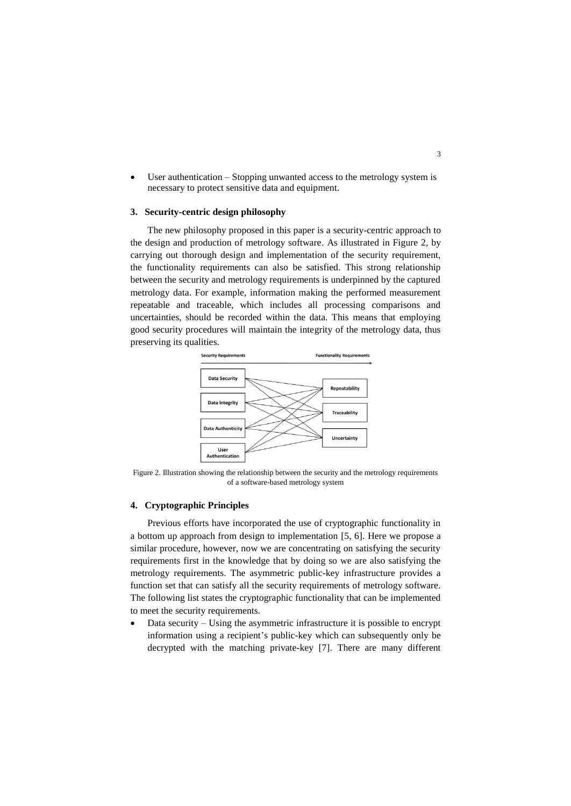User authentication – Stopping unwanted access to the metrology system is necessary to protect sensitive data and equipment.

#### **3. Security-centric design philosophy**

The new philosophy proposed in this paper is a security-centric approach to the design and production of metrology software. As illustrated in [Figure 2,](#page-3-0) by carrying out thorough design and implementation of the security requirement, the functionality requirements can also be satisfied. This strong relationship between the security and metrology requirements is underpinned by the captured metrology data. For example, information making the performed measurement repeatable and traceable, which includes all processing comparisons and uncertainties, should be recorded within the data. This means that employing good security procedures will maintain the integrity of the metrology data, thus preserving its qualities.



<span id="page-3-0"></span>Figure 2. Illustration showing the relationship between the security and the metrology requirements of a software-based metrology system

#### **4. Cryptographic Principles**

Previous efforts have incorporated the use of cryptographic functionality in a bottom up approach from design to implementation [5, 6]. Here we propose a similar procedure, however, now we are concentrating on satisfying the security requirements first in the knowledge that by doing so we are also satisfying the metrology requirements. The asymmetric public-key infrastructure provides a function set that can satisfy all the security requirements of metrology software. The following list states the cryptographic functionality that can be implemented to meet the security requirements.

 Data security – Using the asymmetric infrastructure it is possible to encrypt information using a recipient's public-key which can subsequently only be decrypted with the matching private-key [7]. There are many different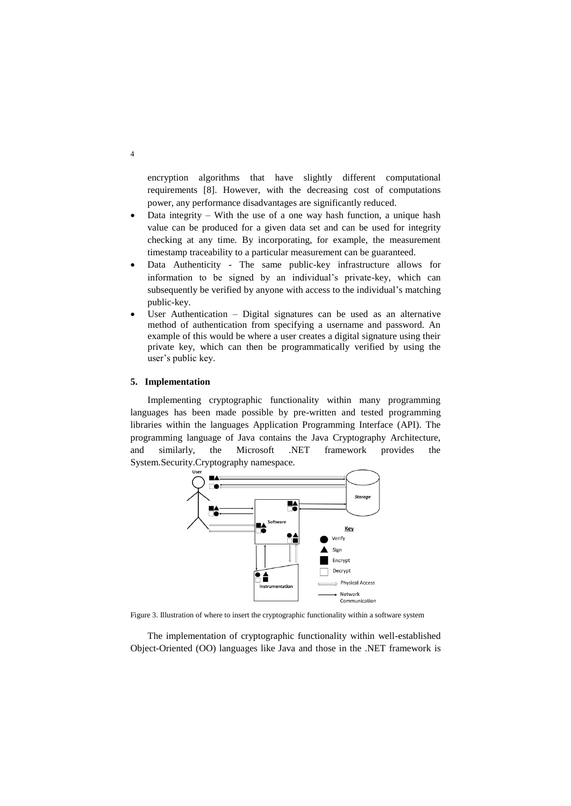encryption algorithms that have slightly different computational requirements [8]. However, with the decreasing cost of computations power, any performance disadvantages are significantly reduced.

- Data integrity With the use of a one way hash function, a unique hash value can be produced for a given data set and can be used for integrity checking at any time. By incorporating, for example, the measurement timestamp traceability to a particular measurement can be guaranteed.
- Data Authenticity The same public-key infrastructure allows for information to be signed by an individual's private-key, which can subsequently be verified by anyone with access to the individual's matching public-key.
- User Authentication Digital signatures can be used as an alternative method of authentication from specifying a username and password. An example of this would be where a user creates a digital signature using their private key, which can then be programmatically verified by using the user's public key.

## **5. Implementation**

Implementing cryptographic functionality within many programming languages has been made possible by pre-written and tested programming libraries within the languages Application Programming Interface (API). The programming language of Java contains the Java Cryptography Architecture, and similarly, the Microsoft .NET framework provides the System.Security.Cryptography namespace.



<span id="page-4-0"></span>Figure 3. Illustration of where to insert the cryptographic functionality within a software system

The implementation of cryptographic functionality within well-established Object-Oriented (OO) languages like Java and those in the .NET framework is

4